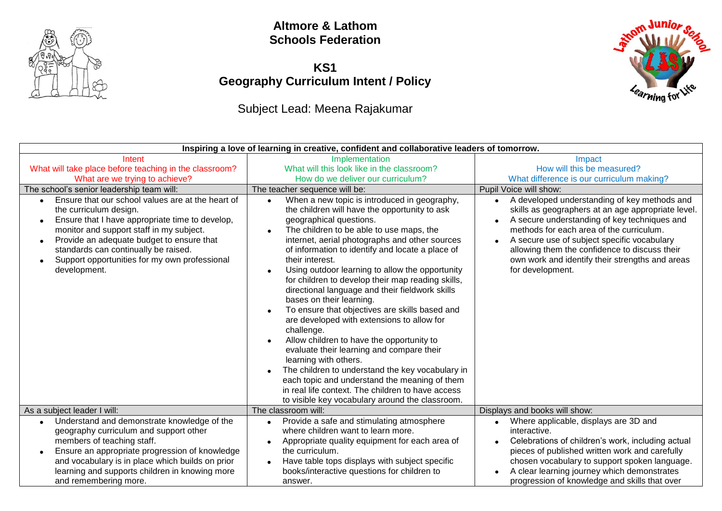

#### **Altmore & Lathom Schools Federation**

### **KS1 Geography Curriculum Intent / Policy**

## Subject Lead: Meena Rajakumar